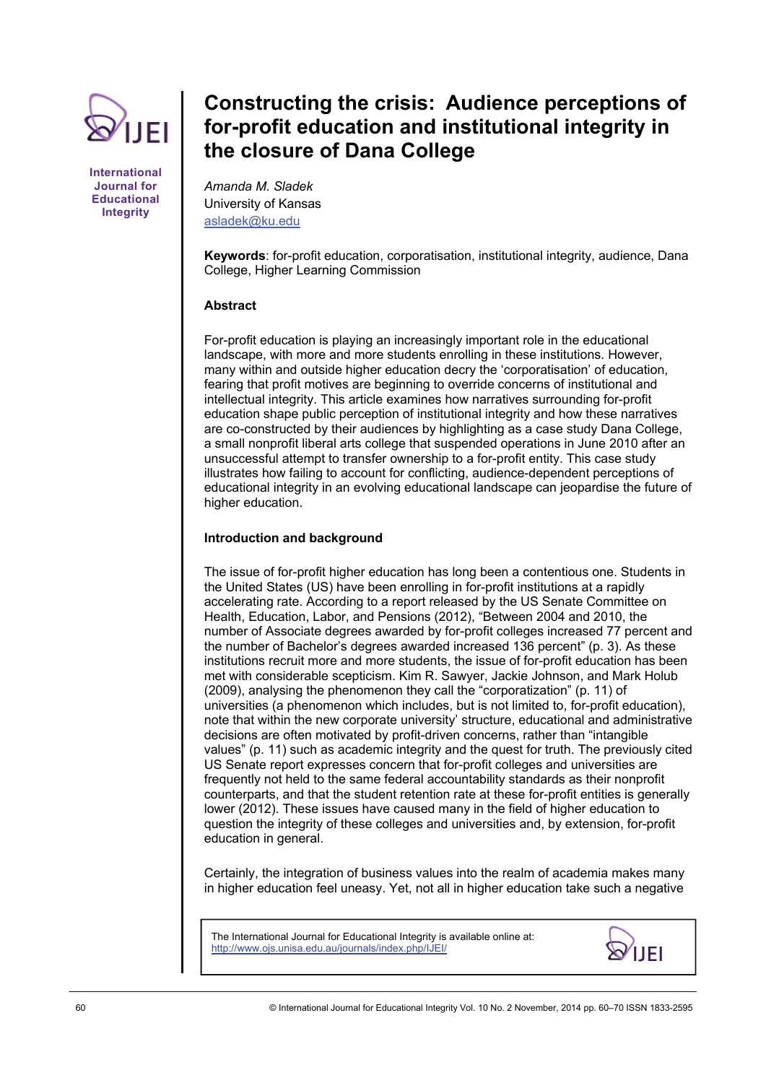

**International Journal for Educational Integrity** 

# **Constructing the crisis: Audience perceptions of for-profit education and institutional integrity in the closure of Dana College**

*Amanda M. Sladek*  University of Kansas [asladek@ku.edu](mailto:asladek@ku.edu)

**Keywords**: for-profit education, corporatisation, institutional integrity, audience, Dana College, Higher Learning Commission

## **Abstract**

For-profit education is playing an increasingly important role in the educational landscape, with more and more students enrolling in these institutions. However, many within and outside higher education decry the 'corporatisation' of education, fearing that profit motives are beginning to override concerns of institutional and intellectual integrity. This article examines how narratives surrounding for-profit education shape public perception of institutional integrity and how these narratives are co-constructed by their audiences by highlighting as a case study Dana College, a small nonprofit liberal arts college that suspended operations in June 2010 after an unsuccessful attempt to transfer ownership to a for-profit entity. This case study illustrates how failing to account for conflicting, audience-dependent perceptions of educational integrity in an evolving educational landscape can jeopardise the future of higher education.

## **Introduction and background**

The issue of for-profit higher education has long been a contentious one. Students in the United States (US) have been enrolling in for-profit institutions at a rapidly accelerating rate. According to a report released by the US Senate Committee on Health, Education, Labor, and Pensions (2012), "Between 2004 and 2010, the number of Associate degrees awarded by for-profit colleges increased 77 percent and the number of Bachelor's degrees awarded increased 136 percent" (p. 3). As these institutions recruit more and more students, the issue of for-profit education has been met with considerable scepticism. Kim R. Sawyer, Jackie Johnson, and Mark Holub (2009), analysing the phenomenon they call the "corporatization" (p. 11) of universities (a phenomenon which includes, but is not limited to, for-profit education), note that within the new corporate university' structure, educational and administrative decisions are often motivated by profit-driven concerns, rather than "intangible values" (p. 11) such as academic integrity and the quest for truth. The previously cited US Senate report expresses concern that for-profit colleges and universities are frequently not held to the same federal accountability standards as their nonprofit counterparts, and that the student retention rate at these for-profit entities is generally lower (2012). These issues have caused many in the field of higher education to question the integrity of these colleges and universities and, by extension, for-profit education in general.

Certainly, the integration of business values into the realm of academia makes many in higher education feel uneasy. Yet, not all in higher education take such a negative

The International Journal for Educational Integrity is available online at: http://www.ojs.unisa.edu.au/journals/index.php/IJEI/

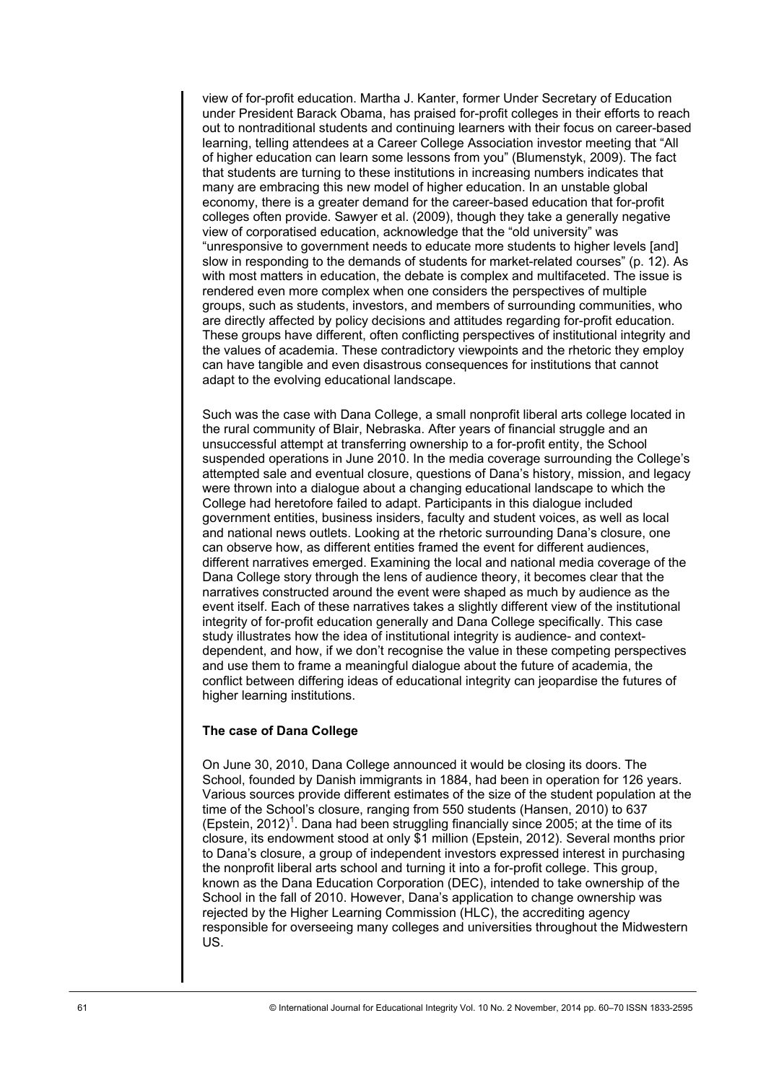view of for-profit education. Martha J. Kanter, former Under Secretary of Education under President Barack Obama, has praised for-profit colleges in their efforts to reach out to nontraditional students and continuing learners with their focus on career-based learning, telling attendees at a Career College Association investor meeting that "All of higher education can learn some lessons from you" (Blumenstyk, 2009). The fact that students are turning to these institutions in increasing numbers indicates that many are embracing this new model of higher education. In an unstable global economy, there is a greater demand for the career-based education that for-profit colleges often provide. Sawyer et al. (2009), though they take a generally negative view of corporatised education, acknowledge that the "old university" was "unresponsive to government needs to educate more students to higher levels [and] slow in responding to the demands of students for market-related courses" (p. 12). As with most matters in education, the debate is complex and multifaceted. The issue is rendered even more complex when one considers the perspectives of multiple groups, such as students, investors, and members of surrounding communities, who are directly affected by policy decisions and attitudes regarding for-profit education. These groups have different, often conflicting perspectives of institutional integrity and the values of academia. These contradictory viewpoints and the rhetoric they employ can have tangible and even disastrous consequences for institutions that cannot adapt to the evolving educational landscape.

Such was the case with Dana College, a small nonprofit liberal arts college located in the rural community of Blair, Nebraska. After years of financial struggle and an unsuccessful attempt at transferring ownership to a for-profit entity, the School suspended operations in June 2010. In the media coverage surrounding the College's attempted sale and eventual closure, questions of Dana's history, mission, and legacy were thrown into a dialogue about a changing educational landscape to which the College had heretofore failed to adapt. Participants in this dialogue included government entities, business insiders, faculty and student voices, as well as local and national news outlets. Looking at the rhetoric surrounding Dana's closure, one can observe how, as different entities framed the event for different audiences, different narratives emerged. Examining the local and national media coverage of the Dana College story through the lens of audience theory, it becomes clear that the narratives constructed around the event were shaped as much by audience as the event itself. Each of these narratives takes a slightly different view of the institutional integrity of for-profit education generally and Dana College specifically. This case study illustrates how the idea of institutional integrity is audience- and contextdependent, and how, if we don't recognise the value in these competing perspectives and use them to frame a meaningful dialogue about the future of academia, the conflict between differing ideas of educational integrity can jeopardise the futures of higher learning institutions.

### **The case of Dana College**

On June 30, 2010, Dana College announced it would be closing its doors. The School, founded by Danish immigrants in 1884, had been in operation for 126 years. Various sources provide different estimates of the size of the student population at the time of the School's closure, ranging from 550 students (Hansen, 2010) to 637 (Epstein, 2012)<sup>1</sup>. Dana had been struggling financially since 2005; at the time of its closure, its endowment stood at only \$1 million (Epstein, 2012). Several months prior to Dana's closure, a group of independent investors expressed interest in purchasing the nonprofit liberal arts school and turning it into a for-profit college. This group, known as the Dana Education Corporation (DEC), intended to take ownership of the School in the fall of 2010. However, Dana's application to change ownership was rejected by the Higher Learning Commission (HLC), the accrediting agency responsible for overseeing many colleges and universities throughout the Midwestern US.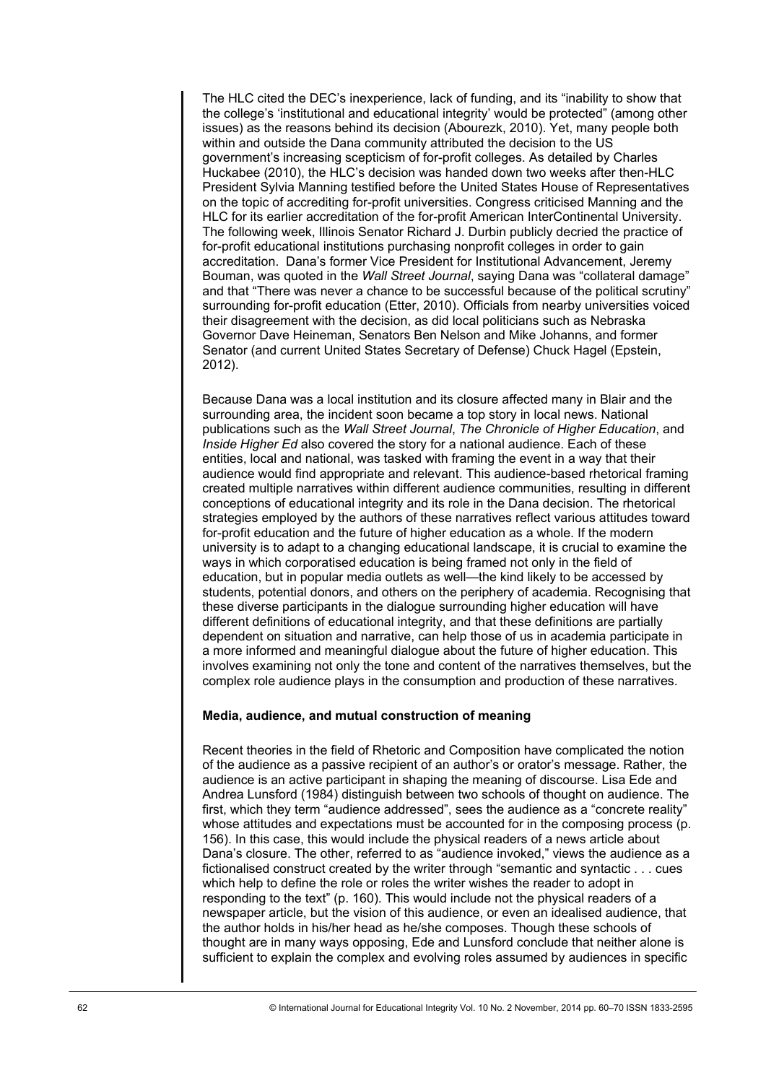The HLC cited the DEC's inexperience, lack of funding, and its "inability to show that the college's 'institutional and educational integrity' would be protected" (among other issues) as the reasons behind its decision (Abourezk, 2010). Yet, many people both within and outside the Dana community attributed the decision to the US government's increasing scepticism of for-profit colleges. As detailed by Charles Huckabee (2010), the HLC's decision was handed down two weeks after then-HLC President Sylvia Manning testified before the United States House of Representatives on the topic of accrediting for-profit universities. Congress criticised Manning and the HLC for its earlier accreditation of the for-profit American InterContinental University. The following week, Illinois Senator Richard J. Durbin publicly decried the practice of for-profit educational institutions purchasing nonprofit colleges in order to gain accreditation. Dana's former Vice President for Institutional Advancement, Jeremy Bouman, was quoted in the *Wall Street Journal*, saying Dana was "collateral damage" and that "There was never a chance to be successful because of the political scrutiny" surrounding for-profit education (Etter, 2010). Officials from nearby universities voiced their disagreement with the decision, as did local politicians such as Nebraska Governor Dave Heineman, Senators Ben Nelson and Mike Johanns, and former Senator (and current United States Secretary of Defense) Chuck Hagel (Epstein, 2012).

Because Dana was a local institution and its closure affected many in Blair and the surrounding area, the incident soon became a top story in local news. National publications such as the *Wall Street Journal*, *The Chronicle of Higher Education*, and *Inside Higher Ed* also covered the story for a national audience. Each of these entities, local and national, was tasked with framing the event in a way that their audience would find appropriate and relevant. This audience-based rhetorical framing created multiple narratives within different audience communities, resulting in different conceptions of educational integrity and its role in the Dana decision. The rhetorical strategies employed by the authors of these narratives reflect various attitudes toward for-profit education and the future of higher education as a whole. If the modern university is to adapt to a changing educational landscape, it is crucial to examine the ways in which corporatised education is being framed not only in the field of education, but in popular media outlets as well—the kind likely to be accessed by students, potential donors, and others on the periphery of academia. Recognising that these diverse participants in the dialogue surrounding higher education will have different definitions of educational integrity, and that these definitions are partially dependent on situation and narrative, can help those of us in academia participate in a more informed and meaningful dialogue about the future of higher education. This involves examining not only the tone and content of the narratives themselves, but the complex role audience plays in the consumption and production of these narratives.

### **Media, audience, and mutual construction of meaning**

Recent theories in the field of Rhetoric and Composition have complicated the notion of the audience as a passive recipient of an author's or orator's message. Rather, the audience is an active participant in shaping the meaning of discourse. Lisa Ede and Andrea Lunsford (1984) distinguish between two schools of thought on audience. The first, which they term "audience addressed", sees the audience as a "concrete reality" whose attitudes and expectations must be accounted for in the composing process (p. 156). In this case, this would include the physical readers of a news article about Dana's closure. The other, referred to as "audience invoked," views the audience as a fictionalised construct created by the writer through "semantic and syntactic . . . cues which help to define the role or roles the writer wishes the reader to adopt in responding to the text" (p. 160). This would include not the physical readers of a newspaper article, but the vision of this audience, or even an idealised audience, that the author holds in his/her head as he/she composes. Though these schools of thought are in many ways opposing, Ede and Lunsford conclude that neither alone is sufficient to explain the complex and evolving roles assumed by audiences in specific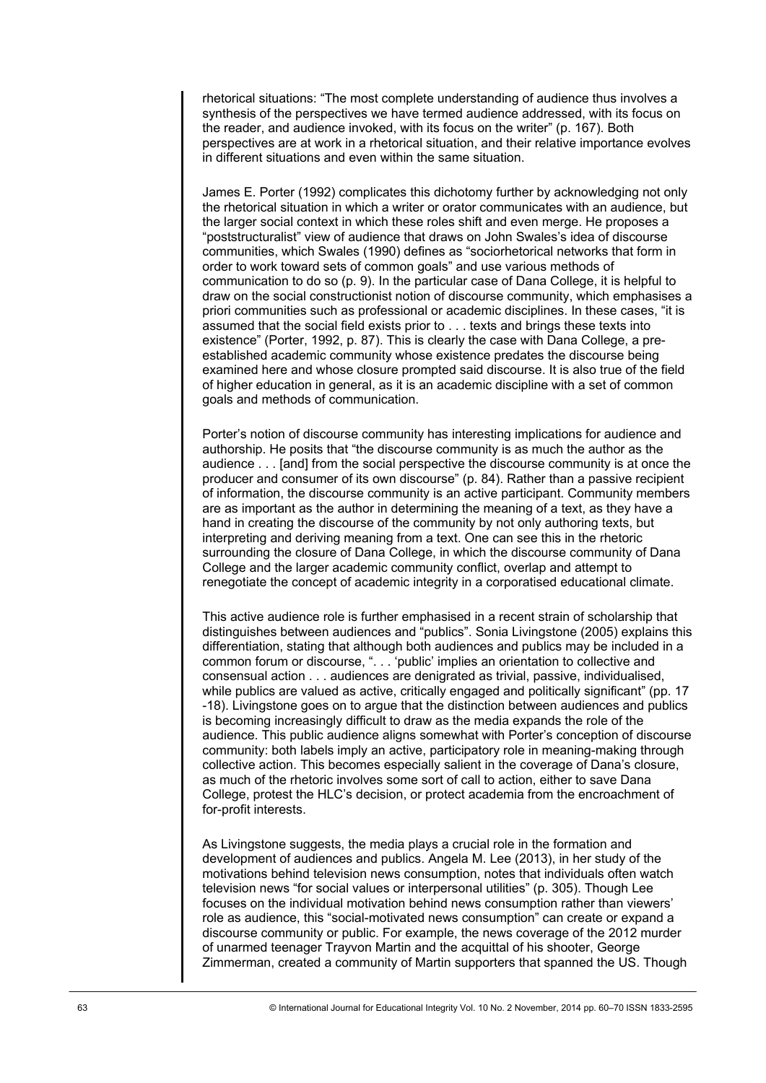rhetorical situations: "The most complete understanding of audience thus involves a synthesis of the perspectives we have termed audience addressed, with its focus on the reader, and audience invoked, with its focus on the writer" (p. 167). Both perspectives are at work in a rhetorical situation, and their relative importance evolves in different situations and even within the same situation.

James E. Porter (1992) complicates this dichotomy further by acknowledging not only the rhetorical situation in which a writer or orator communicates with an audience, but the larger social context in which these roles shift and even merge. He proposes a "poststructuralist" view of audience that draws on John Swales's idea of discourse communities, which Swales (1990) defines as "sociorhetorical networks that form in order to work toward sets of common goals" and use various methods of communication to do so (p. 9). In the particular case of Dana College, it is helpful to draw on the social constructionist notion of discourse community, which emphasises a priori communities such as professional or academic disciplines. In these cases, "it is assumed that the social field exists prior to . . . texts and brings these texts into existence" (Porter, 1992, p. 87). This is clearly the case with Dana College, a preestablished academic community whose existence predates the discourse being examined here and whose closure prompted said discourse. It is also true of the field of higher education in general, as it is an academic discipline with a set of common goals and methods of communication.

Porter's notion of discourse community has interesting implications for audience and authorship. He posits that "the discourse community is as much the author as the audience . . . [and] from the social perspective the discourse community is at once the producer and consumer of its own discourse" (p. 84). Rather than a passive recipient of information, the discourse community is an active participant. Community members are as important as the author in determining the meaning of a text, as they have a hand in creating the discourse of the community by not only authoring texts, but interpreting and deriving meaning from a text. One can see this in the rhetoric surrounding the closure of Dana College, in which the discourse community of Dana College and the larger academic community conflict, overlap and attempt to renegotiate the concept of academic integrity in a corporatised educational climate.

This active audience role is further emphasised in a recent strain of scholarship that distinguishes between audiences and "publics". Sonia Livingstone (2005) explains this differentiation, stating that although both audiences and publics may be included in a common forum or discourse, ". . . 'public' implies an orientation to collective and consensual action . . . audiences are denigrated as trivial, passive, individualised, while publics are valued as active, critically engaged and politically significant" (pp. 17 -18). Livingstone goes on to argue that the distinction between audiences and publics is becoming increasingly difficult to draw as the media expands the role of the audience. This public audience aligns somewhat with Porter's conception of discourse community: both labels imply an active, participatory role in meaning-making through collective action. This becomes especially salient in the coverage of Dana's closure, as much of the rhetoric involves some sort of call to action, either to save Dana College, protest the HLC's decision, or protect academia from the encroachment of for-profit interests.

As Livingstone suggests, the media plays a crucial role in the formation and development of audiences and publics. Angela M. Lee (2013), in her study of the motivations behind television news consumption, notes that individuals often watch television news "for social values or interpersonal utilities" (p. 305). Though Lee focuses on the individual motivation behind news consumption rather than viewers' role as audience, this "social-motivated news consumption" can create or expand a discourse community or public. For example, the news coverage of the 2012 murder of unarmed teenager Trayvon Martin and the acquittal of his shooter, George Zimmerman, created a community of Martin supporters that spanned the US. Though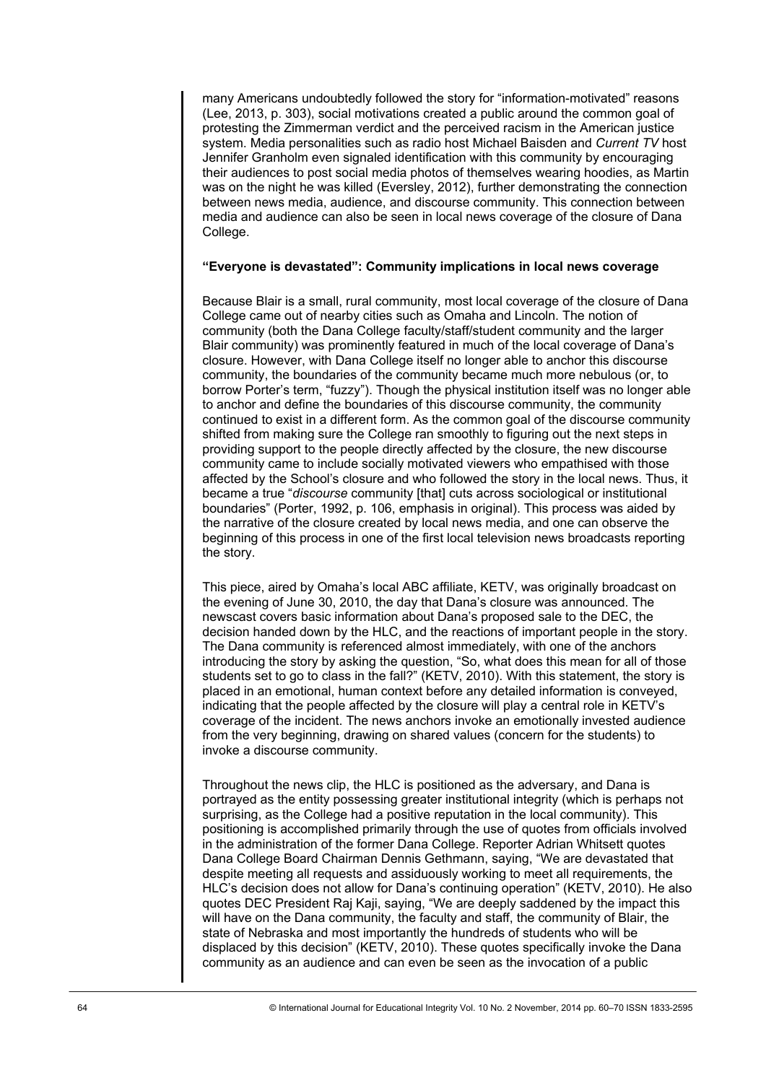many Americans undoubtedly followed the story for "information-motivated" reasons (Lee, 2013, p. 303), social motivations created a public around the common goal of protesting the Zimmerman verdict and the perceived racism in the American justice system. Media personalities such as radio host Michael Baisden and *Current TV* host Jennifer Granholm even signaled identification with this community by encouraging their audiences to post social media photos of themselves wearing hoodies, as Martin was on the night he was killed (Eversley, 2012), further demonstrating the connection between news media, audience, and discourse community. This connection between media and audience can also be seen in local news coverage of the closure of Dana College.

### **"Everyone is devastated": Community implications in local news coverage**

Because Blair is a small, rural community, most local coverage of the closure of Dana College came out of nearby cities such as Omaha and Lincoln. The notion of community (both the Dana College faculty/staff/student community and the larger Blair community) was prominently featured in much of the local coverage of Dana's closure. However, with Dana College itself no longer able to anchor this discourse community, the boundaries of the community became much more nebulous (or, to borrow Porter's term, "fuzzy"). Though the physical institution itself was no longer able to anchor and define the boundaries of this discourse community, the community continued to exist in a different form. As the common goal of the discourse community shifted from making sure the College ran smoothly to figuring out the next steps in providing support to the people directly affected by the closure, the new discourse community came to include socially motivated viewers who empathised with those affected by the School's closure and who followed the story in the local news. Thus, it became a true "*discourse* community [that] cuts across sociological or institutional boundaries" (Porter, 1992, p. 106, emphasis in original). This process was aided by the narrative of the closure created by local news media, and one can observe the beginning of this process in one of the first local television news broadcasts reporting the story.

This piece, aired by Omaha's local ABC affiliate, KETV, was originally broadcast on the evening of June 30, 2010, the day that Dana's closure was announced. The newscast covers basic information about Dana's proposed sale to the DEC, the decision handed down by the HLC, and the reactions of important people in the story. The Dana community is referenced almost immediately, with one of the anchors introducing the story by asking the question, "So, what does this mean for all of those students set to go to class in the fall?" (KETV, 2010). With this statement, the story is placed in an emotional, human context before any detailed information is conveyed, indicating that the people affected by the closure will play a central role in KETV's coverage of the incident. The news anchors invoke an emotionally invested audience from the very beginning, drawing on shared values (concern for the students) to invoke a discourse community.

Throughout the news clip, the HLC is positioned as the adversary, and Dana is portrayed as the entity possessing greater institutional integrity (which is perhaps not surprising, as the College had a positive reputation in the local community). This positioning is accomplished primarily through the use of quotes from officials involved in the administration of the former Dana College. Reporter Adrian Whitsett quotes Dana College Board Chairman Dennis Gethmann, saying, "We are devastated that despite meeting all requests and assiduously working to meet all requirements, the HLC's decision does not allow for Dana's continuing operation" (KETV, 2010). He also quotes DEC President Raj Kaji, saying, "We are deeply saddened by the impact this will have on the Dana community, the faculty and staff, the community of Blair, the state of Nebraska and most importantly the hundreds of students who will be displaced by this decision" (KETV, 2010). These quotes specifically invoke the Dana community as an audience and can even be seen as the invocation of a public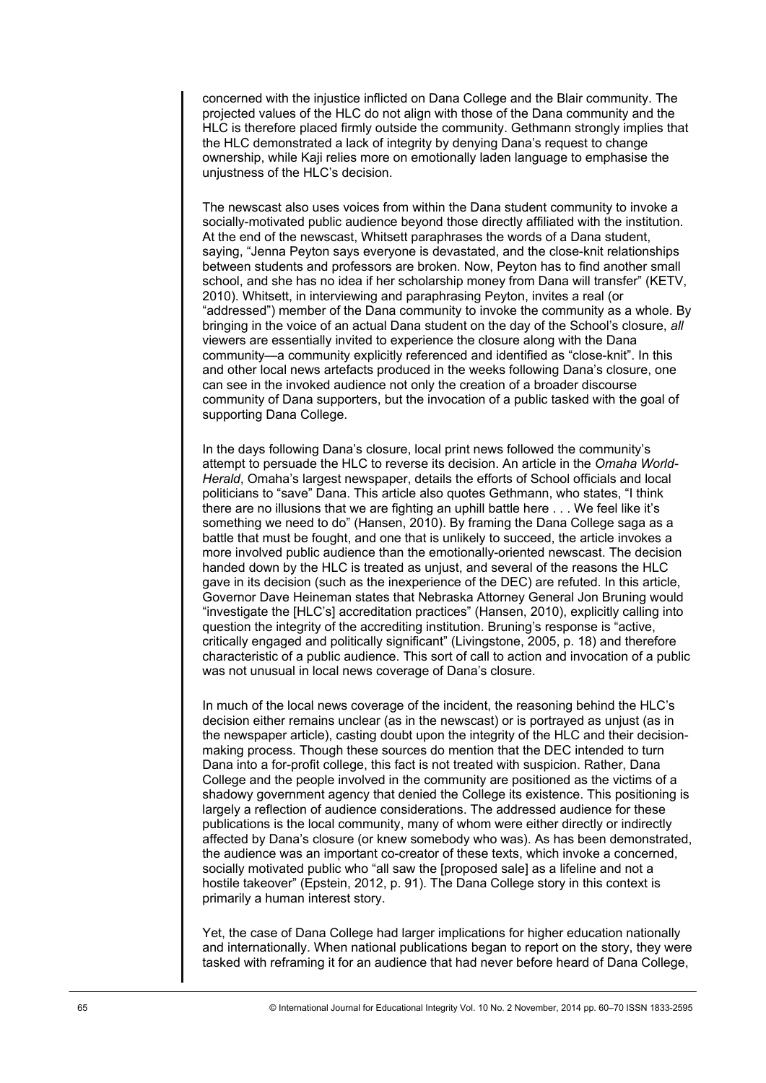concerned with the injustice inflicted on Dana College and the Blair community. The projected values of the HLC do not align with those of the Dana community and the HLC is therefore placed firmly outside the community. Gethmann strongly implies that the HLC demonstrated a lack of integrity by denying Dana's request to change ownership, while Kaji relies more on emotionally laden language to emphasise the unjustness of the HLC's decision.

The newscast also uses voices from within the Dana student community to invoke a socially-motivated public audience beyond those directly affiliated with the institution. At the end of the newscast, Whitsett paraphrases the words of a Dana student, saying, "Jenna Peyton says everyone is devastated, and the close-knit relationships between students and professors are broken. Now, Peyton has to find another small school, and she has no idea if her scholarship money from Dana will transfer" (KETV, 2010). Whitsett, in interviewing and paraphrasing Peyton, invites a real (or "addressed") member of the Dana community to invoke the community as a whole. By bringing in the voice of an actual Dana student on the day of the School's closure, *all* viewers are essentially invited to experience the closure along with the Dana community—a community explicitly referenced and identified as "close-knit". In this and other local news artefacts produced in the weeks following Dana's closure, one can see in the invoked audience not only the creation of a broader discourse community of Dana supporters, but the invocation of a public tasked with the goal of supporting Dana College.

In the days following Dana's closure, local print news followed the community's attempt to persuade the HLC to reverse its decision. An article in the *Omaha World-Herald*, Omaha's largest newspaper, details the efforts of School officials and local politicians to "save" Dana. This article also quotes Gethmann, who states, "I think there are no illusions that we are fighting an uphill battle here . . . We feel like it's something we need to do" (Hansen, 2010). By framing the Dana College saga as a battle that must be fought, and one that is unlikely to succeed, the article invokes a more involved public audience than the emotionally-oriented newscast. The decision handed down by the HLC is treated as unjust, and several of the reasons the HLC gave in its decision (such as the inexperience of the DEC) are refuted. In this article, Governor Dave Heineman states that Nebraska Attorney General Jon Bruning would "investigate the [HLC's] accreditation practices" (Hansen, 2010), explicitly calling into question the integrity of the accrediting institution. Bruning's response is "active, critically engaged and politically significant" (Livingstone, 2005, p. 18) and therefore characteristic of a public audience. This sort of call to action and invocation of a public was not unusual in local news coverage of Dana's closure.

In much of the local news coverage of the incident, the reasoning behind the HLC's decision either remains unclear (as in the newscast) or is portrayed as unjust (as in the newspaper article), casting doubt upon the integrity of the HLC and their decisionmaking process. Though these sources do mention that the DEC intended to turn Dana into a for-profit college, this fact is not treated with suspicion. Rather, Dana College and the people involved in the community are positioned as the victims of a shadowy government agency that denied the College its existence. This positioning is largely a reflection of audience considerations. The addressed audience for these publications is the local community, many of whom were either directly or indirectly affected by Dana's closure (or knew somebody who was). As has been demonstrated, the audience was an important co-creator of these texts, which invoke a concerned, socially motivated public who "all saw the [proposed sale] as a lifeline and not a hostile takeover" (Epstein, 2012, p. 91). The Dana College story in this context is primarily a human interest story.

Yet, the case of Dana College had larger implications for higher education nationally and internationally. When national publications began to report on the story, they were tasked with reframing it for an audience that had never before heard of Dana College,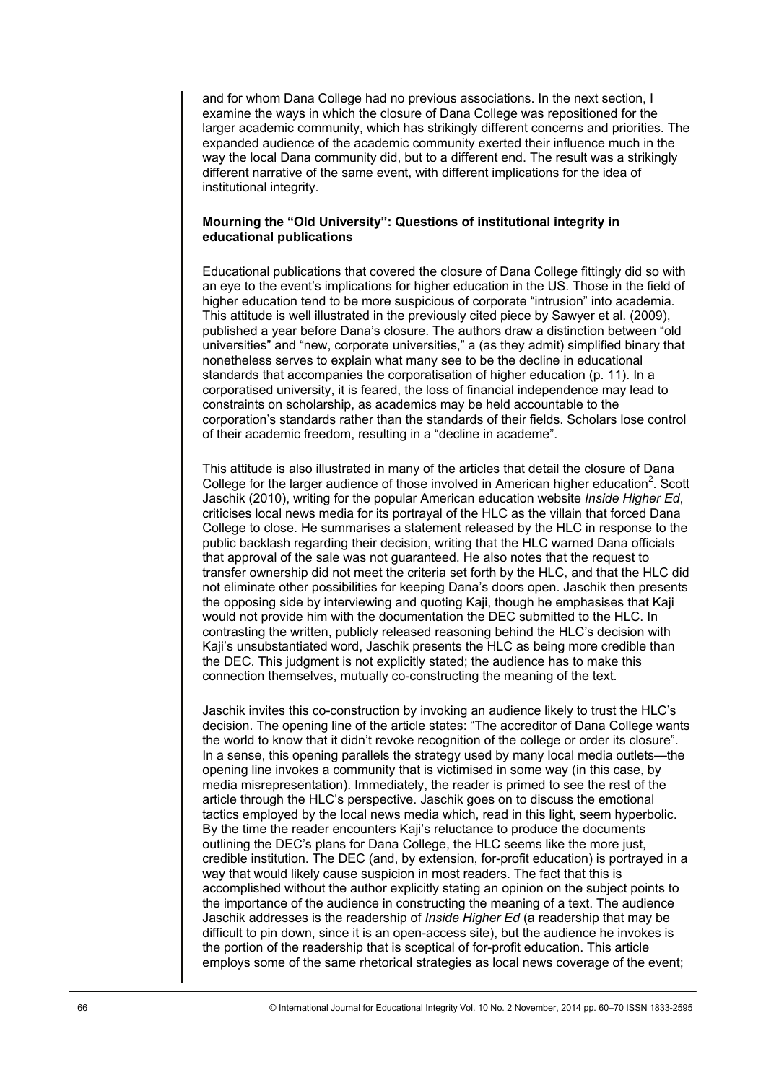and for whom Dana College had no previous associations. In the next section, I examine the ways in which the closure of Dana College was repositioned for the larger academic community, which has strikingly different concerns and priorities. The expanded audience of the academic community exerted their influence much in the way the local Dana community did, but to a different end. The result was a strikingly different narrative of the same event, with different implications for the idea of institutional integrity.

## **Mourning the "Old University": Questions of institutional integrity in educational publications**

Educational publications that covered the closure of Dana College fittingly did so with an eye to the event's implications for higher education in the US. Those in the field of higher education tend to be more suspicious of corporate "intrusion" into academia. This attitude is well illustrated in the previously cited piece by Sawyer et al. (2009), published a year before Dana's closure. The authors draw a distinction between "old universities" and "new, corporate universities," a (as they admit) simplified binary that nonetheless serves to explain what many see to be the decline in educational standards that accompanies the corporatisation of higher education (p. 11). In a corporatised university, it is feared, the loss of financial independence may lead to constraints on scholarship, as academics may be held accountable to the corporation's standards rather than the standards of their fields. Scholars lose control of their academic freedom, resulting in a "decline in academe".

This attitude is also illustrated in many of the articles that detail the closure of Dana College for the larger audience of those involved in American higher education<sup>2</sup>. Scott Jaschik (2010), writing for the popular American education website *Inside Higher Ed*, criticises local news media for its portrayal of the HLC as the villain that forced Dana College to close. He summarises a statement released by the HLC in response to the public backlash regarding their decision, writing that the HLC warned Dana officials that approval of the sale was not guaranteed. He also notes that the request to transfer ownership did not meet the criteria set forth by the HLC, and that the HLC did not eliminate other possibilities for keeping Dana's doors open. Jaschik then presents the opposing side by interviewing and quoting Kaji, though he emphasises that Kaji would not provide him with the documentation the DEC submitted to the HLC. In contrasting the written, publicly released reasoning behind the HLC's decision with Kaji's unsubstantiated word, Jaschik presents the HLC as being more credible than the DEC. This judgment is not explicitly stated; the audience has to make this connection themselves, mutually co-constructing the meaning of the text.

Jaschik invites this co-construction by invoking an audience likely to trust the HLC's decision. The opening line of the article states: "The accreditor of Dana College wants the world to know that it didn't revoke recognition of the college or order its closure". In a sense, this opening parallels the strategy used by many local media outlets—the opening line invokes a community that is victimised in some way (in this case, by media misrepresentation). Immediately, the reader is primed to see the rest of the article through the HLC's perspective. Jaschik goes on to discuss the emotional tactics employed by the local news media which, read in this light, seem hyperbolic. By the time the reader encounters Kaji's reluctance to produce the documents outlining the DEC's plans for Dana College, the HLC seems like the more just, credible institution. The DEC (and, by extension, for-profit education) is portrayed in a way that would likely cause suspicion in most readers. The fact that this is accomplished without the author explicitly stating an opinion on the subject points to the importance of the audience in constructing the meaning of a text. The audience Jaschik addresses is the readership of *Inside Higher Ed* (a readership that may be difficult to pin down, since it is an open-access site), but the audience he invokes is the portion of the readership that is sceptical of for-profit education. This article employs some of the same rhetorical strategies as local news coverage of the event;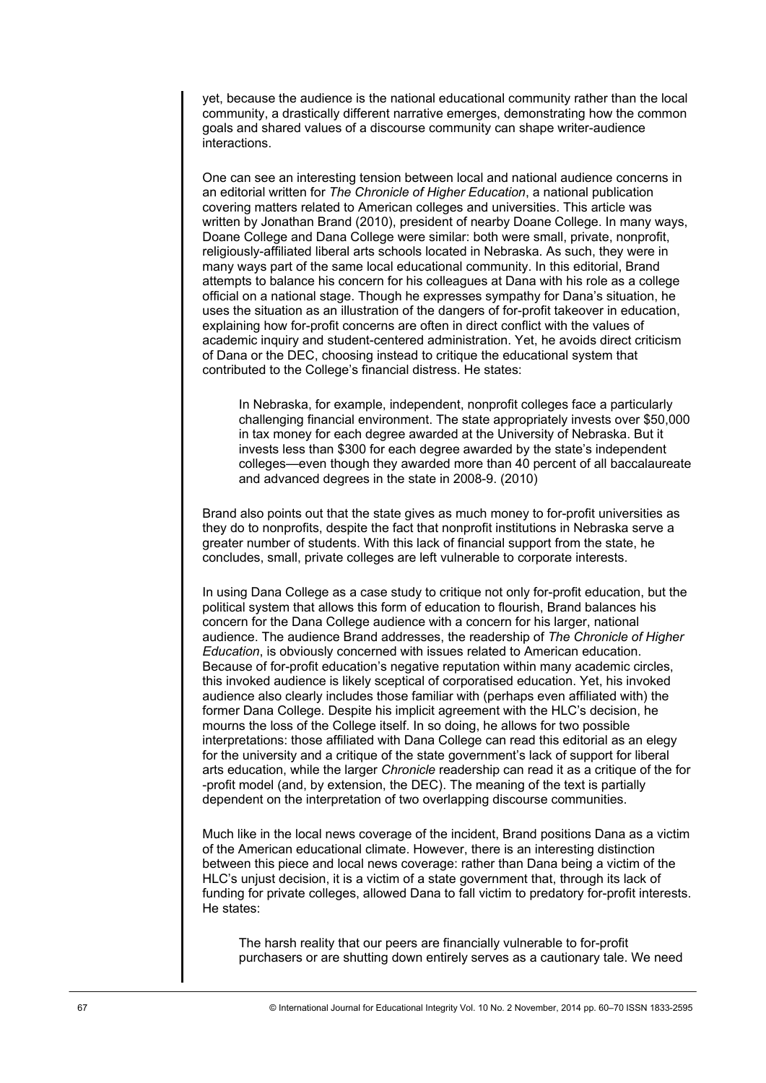yet, because the audience is the national educational community rather than the local community, a drastically different narrative emerges, demonstrating how the common goals and shared values of a discourse community can shape writer-audience interactions.

One can see an interesting tension between local and national audience concerns in an editorial written for *The Chronicle of Higher Education*, a national publication covering matters related to American colleges and universities. This article was written by Jonathan Brand (2010), president of nearby Doane College. In many ways, Doane College and Dana College were similar: both were small, private, nonprofit, religiously-affiliated liberal arts schools located in Nebraska. As such, they were in many ways part of the same local educational community. In this editorial, Brand attempts to balance his concern for his colleagues at Dana with his role as a college official on a national stage. Though he expresses sympathy for Dana's situation, he uses the situation as an illustration of the dangers of for-profit takeover in education, explaining how for-profit concerns are often in direct conflict with the values of academic inquiry and student-centered administration. Yet, he avoids direct criticism of Dana or the DEC, choosing instead to critique the educational system that contributed to the College's financial distress. He states:

In Nebraska, for example, independent, nonprofit colleges face a particularly challenging financial environment. The state appropriately invests over \$50,000 in tax money for each degree awarded at the University of Nebraska. But it invests less than \$300 for each degree awarded by the state's independent colleges—even though they awarded more than 40 percent of all baccalaureate and advanced degrees in the state in 2008-9. (2010)

Brand also points out that the state gives as much money to for-profit universities as they do to nonprofits, despite the fact that nonprofit institutions in Nebraska serve a greater number of students. With this lack of financial support from the state, he concludes, small, private colleges are left vulnerable to corporate interests.

In using Dana College as a case study to critique not only for-profit education, but the political system that allows this form of education to flourish, Brand balances his concern for the Dana College audience with a concern for his larger, national audience. The audience Brand addresses, the readership of *The Chronicle of Higher Education*, is obviously concerned with issues related to American education. Because of for-profit education's negative reputation within many academic circles, this invoked audience is likely sceptical of corporatised education. Yet, his invoked audience also clearly includes those familiar with (perhaps even affiliated with) the former Dana College. Despite his implicit agreement with the HLC's decision, he mourns the loss of the College itself. In so doing, he allows for two possible interpretations: those affiliated with Dana College can read this editorial as an elegy for the university and a critique of the state government's lack of support for liberal arts education, while the larger *Chronicle* readership can read it as a critique of the for -profit model (and, by extension, the DEC). The meaning of the text is partially dependent on the interpretation of two overlapping discourse communities.

Much like in the local news coverage of the incident, Brand positions Dana as a victim of the American educational climate. However, there is an interesting distinction between this piece and local news coverage: rather than Dana being a victim of the HLC's unjust decision, it is a victim of a state government that, through its lack of funding for private colleges, allowed Dana to fall victim to predatory for-profit interests. He states:

The harsh reality that our peers are financially vulnerable to for-profit purchasers or are shutting down entirely serves as a cautionary tale. We need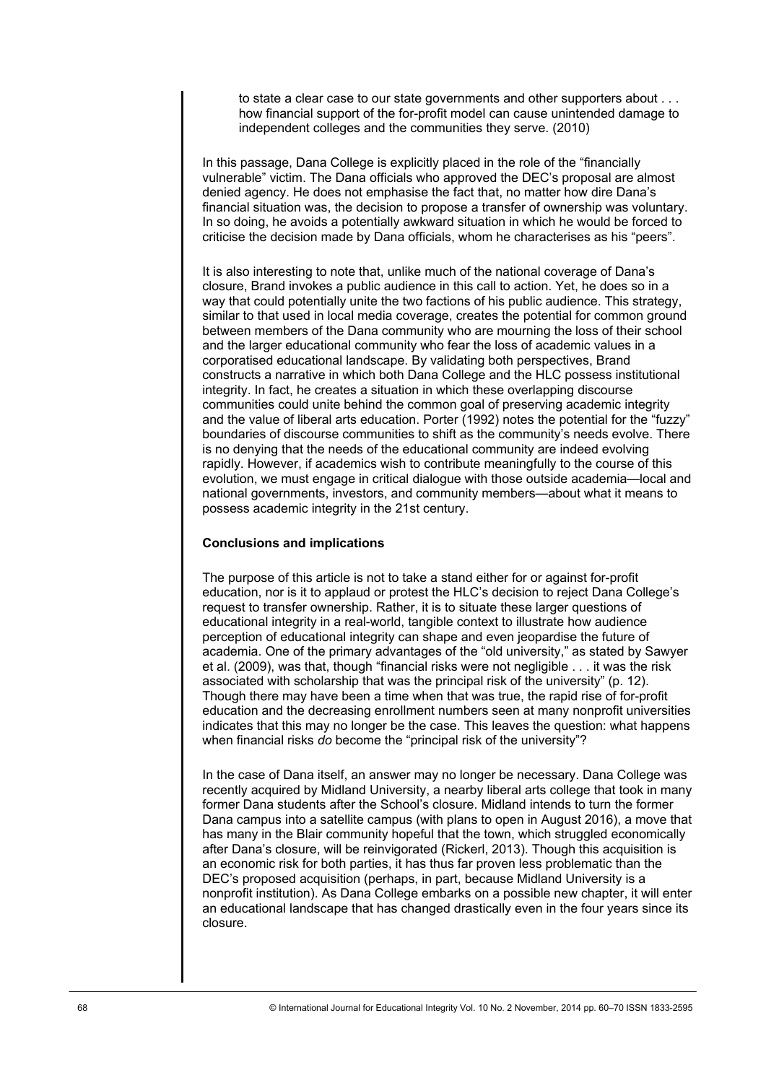to state a clear case to our state governments and other supporters about . . . how financial support of the for-profit model can cause unintended damage to independent colleges and the communities they serve. (2010)

In this passage, Dana College is explicitly placed in the role of the "financially vulnerable" victim. The Dana officials who approved the DEC's proposal are almost denied agency. He does not emphasise the fact that, no matter how dire Dana's financial situation was, the decision to propose a transfer of ownership was voluntary. In so doing, he avoids a potentially awkward situation in which he would be forced to criticise the decision made by Dana officials, whom he characterises as his "peers".

It is also interesting to note that, unlike much of the national coverage of Dana's closure, Brand invokes a public audience in this call to action. Yet, he does so in a way that could potentially unite the two factions of his public audience. This strategy, similar to that used in local media coverage, creates the potential for common ground between members of the Dana community who are mourning the loss of their school and the larger educational community who fear the loss of academic values in a corporatised educational landscape. By validating both perspectives, Brand constructs a narrative in which both Dana College and the HLC possess institutional integrity. In fact, he creates a situation in which these overlapping discourse communities could unite behind the common goal of preserving academic integrity and the value of liberal arts education. Porter (1992) notes the potential for the "fuzzy" boundaries of discourse communities to shift as the community's needs evolve. There is no denying that the needs of the educational community are indeed evolving rapidly. However, if academics wish to contribute meaningfully to the course of this evolution, we must engage in critical dialogue with those outside academia—local and national governments, investors, and community members—about what it means to possess academic integrity in the 21st century.

## **Conclusions and implications**

The purpose of this article is not to take a stand either for or against for-profit education, nor is it to applaud or protest the HLC's decision to reject Dana College's request to transfer ownership. Rather, it is to situate these larger questions of educational integrity in a real-world, tangible context to illustrate how audience perception of educational integrity can shape and even jeopardise the future of academia. One of the primary advantages of the "old university," as stated by Sawyer et al. (2009), was that, though "financial risks were not negligible . . . it was the risk associated with scholarship that was the principal risk of the university" (p. 12). Though there may have been a time when that was true, the rapid rise of for-profit education and the decreasing enrollment numbers seen at many nonprofit universities indicates that this may no longer be the case. This leaves the question: what happens when financial risks *do* become the "principal risk of the university"?

In the case of Dana itself, an answer may no longer be necessary. Dana College was recently acquired by Midland University, a nearby liberal arts college that took in many former Dana students after the School's closure. Midland intends to turn the former Dana campus into a satellite campus (with plans to open in August 2016), a move that has many in the Blair community hopeful that the town, which struggled economically after Dana's closure, will be reinvigorated (Rickerl, 2013). Though this acquisition is an economic risk for both parties, it has thus far proven less problematic than the DEC's proposed acquisition (perhaps, in part, because Midland University is a nonprofit institution). As Dana College embarks on a possible new chapter, it will enter an educational landscape that has changed drastically even in the four years since its closure.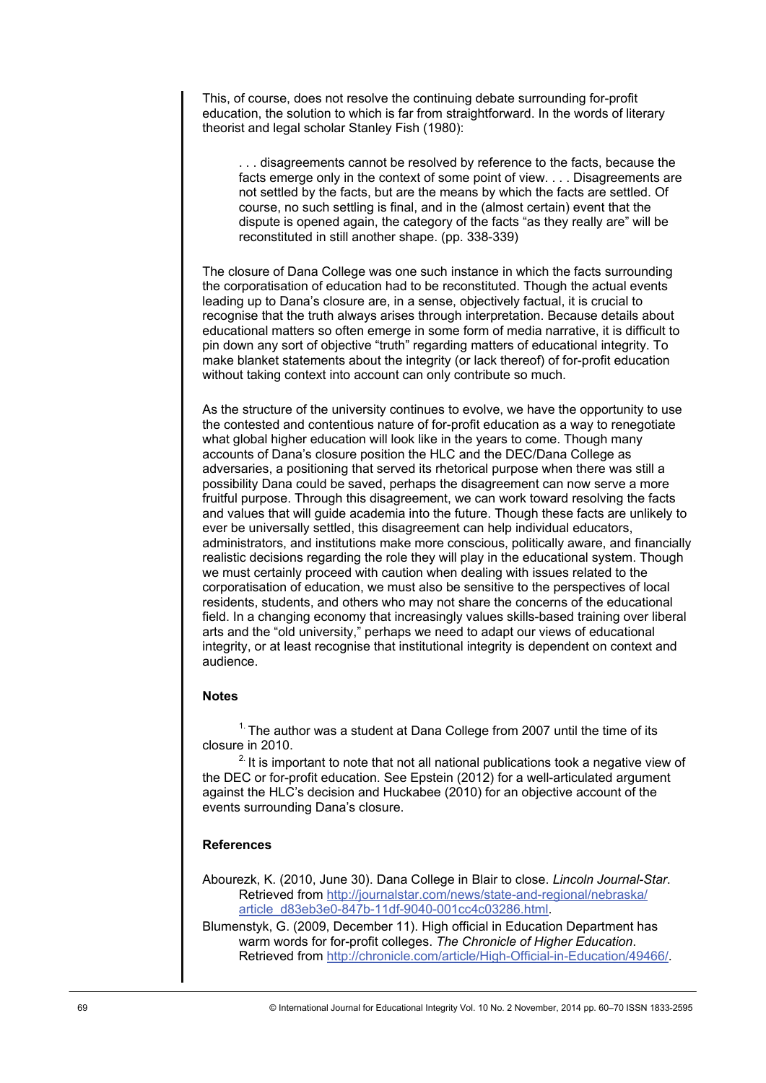This, of course, does not resolve the continuing debate surrounding for-profit education, the solution to which is far from straightforward. In the words of literary theorist and legal scholar Stanley Fish (1980):

. . . disagreements cannot be resolved by reference to the facts, because the facts emerge only in the context of some point of view. . . . Disagreements are not settled by the facts, but are the means by which the facts are settled. Of course, no such settling is final, and in the (almost certain) event that the dispute is opened again, the category of the facts "as they really are" will be reconstituted in still another shape. (pp. 338-339)

The closure of Dana College was one such instance in which the facts surrounding the corporatisation of education had to be reconstituted. Though the actual events leading up to Dana's closure are, in a sense, objectively factual, it is crucial to recognise that the truth always arises through interpretation. Because details about educational matters so often emerge in some form of media narrative, it is difficult to pin down any sort of objective "truth" regarding matters of educational integrity. To make blanket statements about the integrity (or lack thereof) of for-profit education without taking context into account can only contribute so much.

As the structure of the university continues to evolve, we have the opportunity to use the contested and contentious nature of for-profit education as a way to renegotiate what global higher education will look like in the years to come. Though many accounts of Dana's closure position the HLC and the DEC/Dana College as adversaries, a positioning that served its rhetorical purpose when there was still a possibility Dana could be saved, perhaps the disagreement can now serve a more fruitful purpose. Through this disagreement, we can work toward resolving the facts and values that will guide academia into the future. Though these facts are unlikely to ever be universally settled, this disagreement can help individual educators, administrators, and institutions make more conscious, politically aware, and financially realistic decisions regarding the role they will play in the educational system. Though we must certainly proceed with caution when dealing with issues related to the corporatisation of education, we must also be sensitive to the perspectives of local residents, students, and others who may not share the concerns of the educational field. In a changing economy that increasingly values skills-based training over liberal arts and the "old university," perhaps we need to adapt our views of educational integrity, or at least recognise that institutional integrity is dependent on context and audience.

### **Notes**

 $1.$  The author was a student at Dana College from 2007 until the time of its closure in 2010.

 $2$ . It is important to note that not all national publications took a negative view of the DEC or for-profit education. See Epstein (2012) for a well-articulated argument against the HLC's decision and Huckabee (2010) for an objective account of the events surrounding Dana's closure.

### **References**

Abourezk, K. (2010, June 30). Dana College in Blair to close. *Lincoln Journal-Star*. Retrieved from [http://journalstar.com/news/state-and-regional/nebraska/](http://journalstar.com/news/state-and-regional/nebraska/article_d83eb3e0-847b-11df-9040-001cc4c03286.html) [article\\_d83eb3e0-847b-11df-9040-001cc4c03286.html.](http://journalstar.com/news/state-and-regional/nebraska/article_d83eb3e0-847b-11df-9040-001cc4c03286.html)

Blumenstyk, G. (2009, December 11). High official in Education Department has warm words for for-profit colleges. *The Chronicle of Higher Education*. Retrieved from [http://chronicle.com/article/High-Official-in-Education/49466/.](http://chronicle.com/article/High-Official-in-Education/49466/)